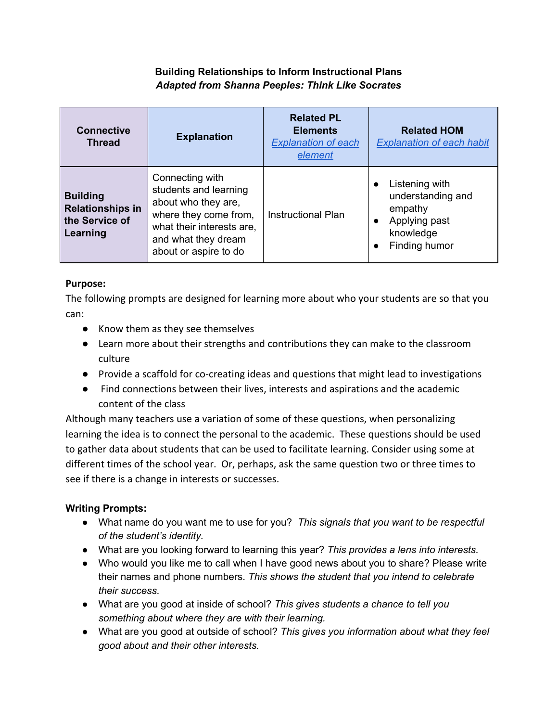# **Building Relationships to Inform Instructional Plans** *Adapted from Shanna Peeples: Think Like Socrates*

| <b>Connective</b><br><b>Thread</b>                                       | <b>Explanation</b>                                                                                                                                                    | <b>Related PL</b><br><b>Elements</b><br><b>Explanation of each</b><br>element | <b>Related HOM</b><br><b>Explanation of each habit</b>                                                                  |
|--------------------------------------------------------------------------|-----------------------------------------------------------------------------------------------------------------------------------------------------------------------|-------------------------------------------------------------------------------|-------------------------------------------------------------------------------------------------------------------------|
| <b>Building</b><br><b>Relationships in</b><br>the Service of<br>Learning | Connecting with<br>students and learning<br>about who they are,<br>where they come from,<br>what their interests are,<br>and what they dream<br>about or aspire to do | <b>Instructional Plan</b>                                                     | Listening with<br>understanding and<br>empathy<br>Applying past<br>$\bullet$<br>knowledge<br>Finding humor<br>$\bullet$ |

### Purpose:

The following prompts are designed for learning more about who your students are so that you can:

- Know them as they see themselves
- Learn more about their strengths and contributions they can make to the classroom culture
- Provide a scaffold for co-creating ideas and questions that might lead to investigations
- Find connections between their lives, interests and aspirations and the academic content of the class

Although many teachers use a variation of some of these questions, when personalizing learning the idea is to connect the personal to the academic. These questions should be used to gather data about students that can be used to facilitate learning. Consider using some at different times of the school year. Or, perhaps, ask the same question two or three times to see if there is a change in interests or successes.

# **Writing Prompts:**

- What name do you want me to use for you? *This signals that you want to be respectful of the student's identity.*
- What are you looking forward to learning this year? *This provides a lens into interests.*
- Who would you like me to call when I have good news about you to share? Please write their names and phone numbers. *This shows the student that you intend to celebrate their success.*
- What are you good at inside of school? *This gives students a chance to tell you something about where they are with their learning.*
- What are you good at outside of school? *This gives you information about what they feel good about and their other interests.*